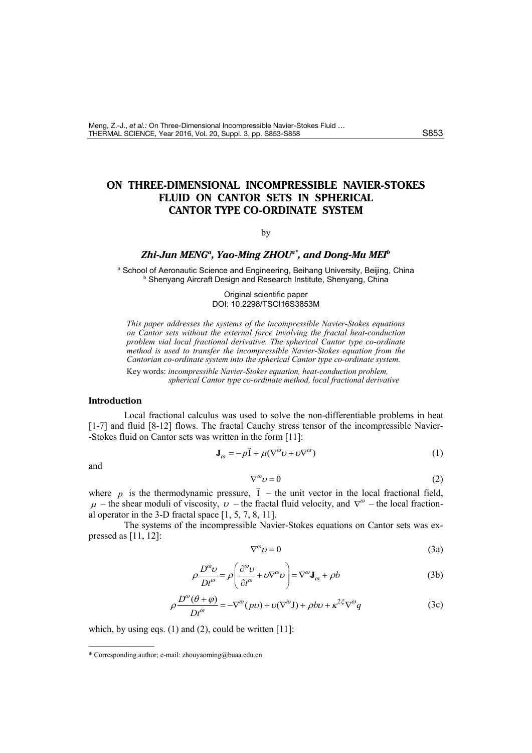# **ON THREE-DIMENSIONAL INCOMPRESSIBLE NAVIER-STOKES FLUID ON CANTOR SETS IN SPHERICAL CANTOR TYPE CO-ORDINATE SYSTEM**

## by

# *Zhi-Jun MENGa , Yao-Ming ZHOUa\*, and Dong-Mu MEIb*

a School of Aeronautic Science and Engineering, Beihang University, Beijing, China **b Shenyang Aircraft Design and Research Institute, Shenyang, China** 

> Original scientific paper DOI: 10.2298/TSCI16S3853M

*This paper addresses the systems of the incompressible Navier-Stokes equations on Cantor sets without the external force involving the fractal heat-conduction problem vial local fractional derivative. The spherical Cantor type co-ordinate method is used to transfer the incompressible Navier-Stokes equation from the Cantorian co-ordinate system into the spherical Cantor type co-ordinate system.* 

Key words: *incompressible Navier-Stokes equation, heat-conduction problem, spherical Cantor type co-ordinate method, local fractional derivative*

## **Introduction**

Local fractional calculus was used to solve the non-differentiable problems in heat [1-7] and fluid [8-12] flows. The fractal Cauchy stress tensor of the incompressible Navier- -Stokes fluid on Cantor sets was written in the form [11]:

$$
\mathbf{J}_{\omega} = -p\vec{1} + \mu(\nabla^{\omega}v + v\nabla^{\omega})
$$
 (1)

and

$$
\nabla^{\omega} \nu = 0 \tag{2}
$$

where *p* is the thermodynamic pressure,  $\vec{l}$  – the unit vector in the local fractional field,  $\mu$  – the shear moduli of viscosity,  $\nu$  – the fractal fluid velocity, and  $\nabla^{\omega}$  – the local fractional operator in the 3-D fractal space [1, 5, 7, 8, 11].

The systems of the incompressible Navier-Stokes equations on Cantor sets was expressed as [11, 12]:

$$
\nabla^{\omega} \nu = 0 \tag{3a}
$$

$$
\rho \frac{D^{\omega} \nu}{Dt^{\omega}} = \rho \left( \frac{\partial^{\omega} \nu}{\partial t^{\omega}} + \nu \nabla^{\omega} \nu \right) = \nabla^{\omega} \mathbf{J}_{\omega} + \rho b \tag{3b}
$$

$$
\rho \frac{D^{\omega}(\theta + \varphi)}{Dt^{\omega}} = -\nabla^{\omega}(p\upsilon) + \upsilon(\nabla^{\omega}J) + \rho b\upsilon + \kappa^{2\xi}\nabla^{\omega}q
$$
 (3c)

which, by using eqs.  $(1)$  and  $(2)$ , could be written [11]:

––––––––––––––

<sup>\*</sup> Corresponding author; e-mail: zhouyaoming@buaa.edu.cn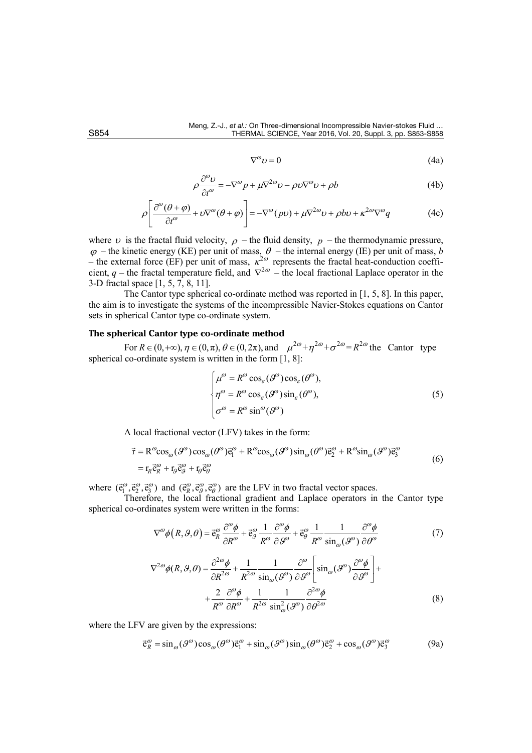$$
\nabla^{\omega} \nu = 0 \tag{4a}
$$

$$
\rho \frac{\partial^{\omega} \nu}{\partial t^{\omega}} = -\nabla^{\omega} p + \mu \nabla^{2\omega} \nu - \rho \nu \nabla^{\omega} \nu + \rho b \tag{4b}
$$

$$
\rho \left[ \frac{\partial^{\omega} (\theta + \varphi)}{\partial t^{\omega}} + \upsilon \nabla^{\omega} (\theta + \varphi) \right] = -\nabla^{\omega} (p\upsilon) + \mu \nabla^{2\omega} \upsilon + \rho b \upsilon + \kappa^{2\omega} \nabla^{\omega} q \tag{4c}
$$

where v is the fractal fluid velocity,  $\rho$  – the fluid density,  $p$  – the thermodynamic pressure,  $\varphi$  – the kinetic energy (KE) per unit of mass,  $\theta$  – the internal energy (IE) per unit of mass, *b* – the external force (EF) per unit of mass,  $\kappa^{2\omega}$  represents the fractal heat-conduction coefficient,  $q$  – the fractal temperature field, and  $\nabla^{2\omega}$  – the local fractional Laplace operator in the 3-D fractal space [1, 5, 7, 8, 11].

The Cantor type spherical co-ordinate method was reported in [1, 5, 8]. In this paper, the aim is to investigate the systems of the incompressible Navier-Stokes equations on Cantor sets in spherical Cantor type co-ordinate system.

# **The spherical Cantor type co-ordinate method**

For  $R \in (0, +\infty)$ ,  $\eta \in (0, \pi)$ ,  $\theta \in (0, 2\pi)$ , and  $\mu^{2\omega} + \eta^{2\omega} + \sigma^{2\omega} = R^{2\omega}$  the Cantor type spherical co-ordinate system is written in the form [1, 8].

$$
\begin{cases}\n\mu^{\omega} = R^{\omega} \cos_{\varepsilon} (\mathcal{G}^{\omega}) \cos_{\varepsilon} (\mathcal{G}^{\omega}), \\
\eta^{\omega} = R^{\omega} \cos_{\varepsilon} (\mathcal{G}^{\omega}) \sin_{\varepsilon} (\mathcal{G}^{\omega}), \\
\sigma^{\omega} = R^{\omega} \sin^{\omega} (\mathcal{G}^{\omega})\n\end{cases}
$$
\n(5)

A local fractional vector (LFV) takes in the form:

$$
\vec{r} = R^{\omega} \cos_{\omega} (\mathcal{G}^{\omega}) \cos_{\omega} (\mathcal{G}^{\omega}) \vec{e}_{1}^{\omega} + R^{\omega} \cos_{\omega} (\mathcal{G}^{\omega}) \sin_{\omega} (\mathcal{G}^{\omega}) \vec{e}_{2}^{\omega} + R^{\omega} \sin_{\omega} (\mathcal{G}^{\omega}) \vec{e}_{3}^{\omega}
$$
\n
$$
= r_{R} \vec{e}_{R}^{\omega} + r_{g} \vec{e}_{g}^{\omega} + r_{\theta} \vec{e}_{\theta}^{\omega}
$$
\n(6)

where  $(\vec{e}_1^{\omega}, \vec{e}_2^{\omega}, \vec{e}_3^{\omega})$  and  $(\vec{e}_R^{\omega}, \vec{e}_3^{\omega}, \vec{e}_\theta^{\omega})$  are the LFV in two fractal vector spaces.

Therefore, the local fractional gradient and Laplace operators in the Cantor type spherical co-ordinates system were written in the forms:

$$
\nabla^{\omega}\phi(R,\mathcal{G},\theta) = \vec{e}_{R}^{\omega}\frac{\partial^{\omega}\phi}{\partial R^{\omega}} + \vec{e}_{\mathcal{G}}^{\omega}\frac{1}{R^{\omega}}\frac{\partial^{\omega}\phi}{\partial \mathcal{G}^{\omega}} + \vec{e}_{\theta}^{\omega}\frac{1}{R^{\omega}}\frac{1}{\sin_{\omega}(\mathcal{G}^{\omega})}\frac{\partial^{\omega}\phi}{\partial \theta^{\omega}}
$$
(7)

$$
\nabla^{2\omega}\phi(R,\vartheta,\theta) = \frac{\partial^{2\omega}\phi}{\partial R^{2\omega}} + \frac{1}{R^{2\omega}} \frac{1}{\sin_{\omega}(\vartheta^{\omega})} \frac{\partial^{\omega}}{\partial \vartheta^{\omega}} \left[\sin_{\omega}(\vartheta^{\omega}) \frac{\partial^{\omega}\phi}{\partial \vartheta^{\omega}}\right] + \frac{2}{R^{\omega}} \frac{\partial^{\omega}\phi}{\partial R^{\omega}} + \frac{1}{R^{2\omega}} \frac{1}{\sin_{\omega}^{2}(\vartheta^{\omega})} \frac{\partial^{2\omega}\phi}{\partial \theta^{2\omega}} \tag{8}
$$

where the LFV are given by the expressions:

$$
\vec{\mathbf{e}}_R^{\omega} = \sin_{\omega}(\mathcal{S}^{\omega})\cos_{\omega}(\theta^{\omega})\vec{\mathbf{e}}_1^{\omega} + \sin_{\omega}(\mathcal{S}^{\omega})\sin_{\omega}(\theta^{\omega})\vec{\mathbf{e}}_2^{\omega} + \cos_{\omega}(\mathcal{S}^{\omega})\vec{\mathbf{e}}_3^{\omega}
$$
(9a)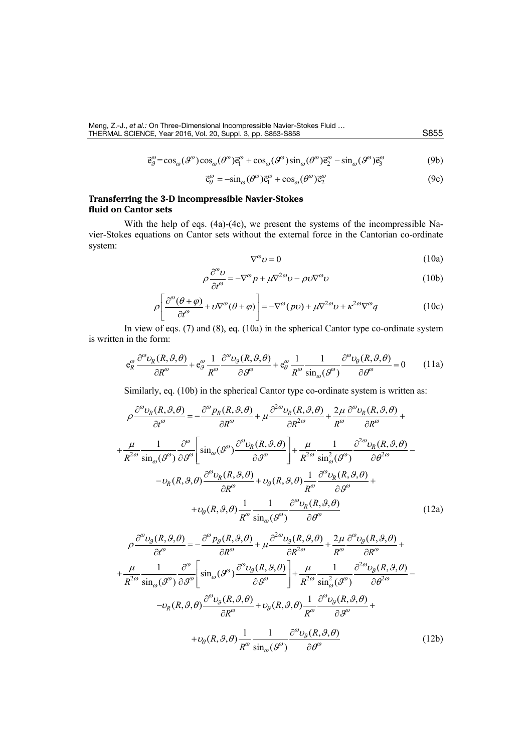$$
\vec{\mathbf{e}}_{\mathcal{G}}^{\omega} = \cos_{\omega}(\mathcal{S}^{\omega}) \cos_{\omega}(\mathcal{S}^{\omega}) \vec{\mathbf{e}}_{1}^{\omega} + \cos_{\omega}(\mathcal{S}^{\omega}) \sin_{\omega}(\mathcal{S}^{\omega}) \vec{\mathbf{e}}_{2}^{\omega} - \sin_{\omega}(\mathcal{S}^{\omega}) \vec{\mathbf{e}}_{3}^{\omega}
$$
(9b)

$$
\vec{\mathbf{e}}_{\theta}^{\omega} = -\sin_{\omega}(\theta^{\omega})\vec{\mathbf{e}}_{1}^{\omega} + \cos_{\omega}(\theta^{\omega})\vec{\mathbf{e}}_{2}^{\omega}
$$
(9c)

# **Transferring the 3-D incompressible Navier-Stokes fluid on Cantor sets**

With the help of eqs. (4a)-(4c), we present the systems of the incompressible Navier-Stokes equations on Cantor sets without the external force in the Cantorian co-ordinate system:

$$
\nabla^{\omega} \nu = 0 \tag{10a}
$$

$$
\rho \frac{\partial^{\omega} \nu}{\partial t^{\omega}} = -\nabla^{\omega} p + \mu \nabla^{2\omega} \nu - \rho \nu \nabla^{\omega} \nu \tag{10b}
$$

$$
\rho \left[ \frac{\partial^{\omega} (\theta + \varphi)}{\partial t^{\omega}} + \upsilon \nabla^{\omega} (\theta + \varphi) \right] = -\nabla^{\omega} (p\upsilon) + \mu \nabla^{2\omega} \upsilon + \kappa^{2\omega} \nabla^{\omega} q \tag{10c}
$$

In view of eqs. (7) and (8), eq. (10a) in the spherical Cantor type co-ordinate system is written in the form:

$$
e_R^{\omega} \frac{\partial^{\omega} \nu_R(R, \mathcal{G}, \theta)}{\partial R^{\omega}} + e_{\mathcal{G}}^{\omega} \frac{1}{R^{\omega}} \frac{\partial^{\omega} \nu_{\mathcal{G}}(R, \mathcal{G}, \theta)}{\partial \mathcal{G}^{\omega}} + e_{\theta}^{\omega} \frac{1}{R^{\omega}} \frac{1}{\sin_{\omega}(\mathcal{G}^{\omega})} \frac{\partial^{\omega} \nu_{\theta}(R, \mathcal{G}, \theta)}{\partial \theta^{\omega}} = 0 \qquad (11a)
$$

Similarly, eq. (10b) in the spherical Cantor type co-ordinate system is written as:

$$
\rho \frac{\partial^{\omega} v_R(R, \mathcal{G}, \theta)}{\partial t^{\omega}} = -\frac{\partial^{\omega} p_R(R, \mathcal{G}, \theta)}{\partial R^{\omega}} + \mu \frac{\partial^{2\omega} v_R(R, \mathcal{G}, \theta)}{\partial R^{2\omega}} + \frac{2\mu}{R^{\omega}} \frac{\partial^{\omega} v_R(R, \mathcal{G}, \theta)}{\partial R^{\omega}} + \frac{\mu}{R^{2\omega}} \frac{1}{\sin_{\omega}(\mathcal{G}^{\omega})} \frac{\partial^{\omega}}{\partial \mathcal{G}^{\omega}} \left[ \sin_{\omega}(\mathcal{G}^{\omega}) \frac{\partial^{\omega} v_R(R, \mathcal{G}, \theta)}{\partial \mathcal{G}^{\omega}} \right] + \frac{\mu}{R^{2\omega}} \frac{1}{\sin_{\omega}^2(\mathcal{G}^{\omega})} \frac{\partial^{2\omega} v_R(R, \mathcal{G}, \theta)}{\partial \theta^{2\omega}} - \frac{v_R(R, \mathcal{G}, \theta)}{\partial R^{\omega}} \frac{\partial^{\omega} v_R(R, \mathcal{G}, \theta)}{\partial R^{\omega}} + v_{\mathcal{G}}(R, \mathcal{G}, \theta) \frac{1}{R^{\omega}} \frac{\partial^{\omega} v_R(R, \mathcal{G}, \theta)}{\partial \mathcal{G}^{\omega}} + \frac{v_{\mathcal{G}}(R, \mathcal{G}, \theta)}{\partial R^{\omega}} \frac{1}{\sin_{\omega}(\mathcal{G}^{\omega})} \frac{\partial^{\omega} v_R(R, \mathcal{G}, \theta)}{\partial \theta^{\omega}} + \frac{1}{V_{\mathcal{G}}(R, \mathcal{G}, \theta)} \frac{\partial^{\omega} v_R(R, \mathcal{G}, \theta)}{\partial \theta^{\omega}} \tag{12a}
$$

$$
\rho \frac{\partial^{\omega} v_{g}(R,\vartheta,\theta)}{\partial t^{\omega}} = -\frac{\partial^{\omega} p_{g}(R,\vartheta,\theta)}{\partial R^{\omega}} + \mu \frac{\partial^{2\omega} v_{g}(R,\vartheta,\theta)}{\partial R^{2\omega}} + \frac{2\mu}{R^{\omega}} \frac{\partial^{\omega} v_{g}(R,\vartheta,\theta)}{\partial R^{\omega}} + \frac{\mu}{R^{2\omega}} \frac{1}{\sin_{\omega}(\vartheta^{\omega})} \frac{\partial^{\omega}}{\partial \vartheta^{\omega}} \left[ \sin_{\omega}(\vartheta^{\omega}) \frac{\partial^{\omega} v_{g}(R,\vartheta,\theta)}{\partial \vartheta^{\omega}} \right] + \frac{\mu}{R^{2\omega}} \frac{1}{\sin_{\omega}^{2}(\vartheta^{\omega})} \frac{\partial^{2\omega} v_{g}(R,\vartheta,\theta)}{\partial \theta^{2\omega}} - \frac{\nu_{R}(R,\vartheta,\theta) \frac{\partial^{\omega} v_{g}(R,\vartheta,\theta)}{\partial R^{\omega}} + \nu_{g}(R,\vartheta,\theta) \frac{1}{R^{\omega}} \frac{\partial^{\omega} v_{g}(R,\vartheta,\theta)}{\partial \vartheta^{\omega}} + \nu_{\theta}(R,\vartheta,\theta) \frac{1}{R^{\omega}} \frac{1}{\sin_{\omega}(\vartheta^{\omega})} \frac{\partial^{\omega} v_{g}(R,\vartheta,\theta)}{\partial \theta^{\omega}} + \nu_{\theta}(R,\vartheta,\theta) \frac{1}{R^{\omega}} \frac{1}{\sin_{\omega}(\vartheta^{\omega})} \frac{\partial^{\omega} v_{g}(R,\vartheta,\theta)}{\partial \theta^{\omega}}
$$
(12b)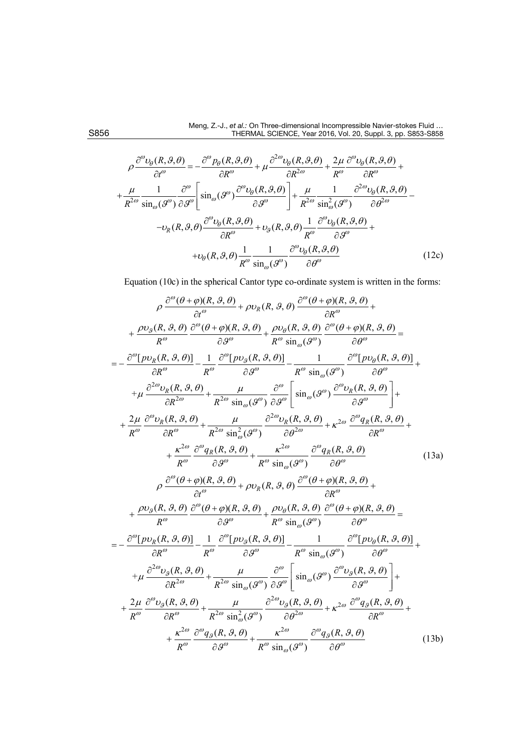$$
\rho \frac{\partial^{\omega} v_{\theta}(R,\vartheta,\theta)}{\partial t^{\omega}} = -\frac{\partial^{\omega} p_{\theta}(R,\vartheta,\theta)}{\partial R^{\omega}} + \mu \frac{\partial^{2\omega} v_{\theta}(R,\vartheta,\theta)}{\partial R^{\omega}} + \frac{2\mu}{R^{\omega}} \frac{\partial^{\omega} v_{\theta}(R,\vartheta,\theta)}{\partial R^{\omega}} + \frac{\mu}{R^{2\omega}} \frac{1}{\sin_{\omega}(\vartheta^{\omega})} \frac{\partial^{\omega}}{\partial \vartheta^{\omega}} \left[ \sin_{\omega}(\vartheta^{\omega}) \frac{\partial^{\omega} v_{\theta}(R,\vartheta,\theta)}{\partial \vartheta^{\omega}} \right] + \frac{\mu}{R^{2\omega}} \frac{1}{\sin_{\omega}^{2}(\vartheta^{\omega})} \frac{\partial^{2\omega} v_{\theta}(R,\vartheta,\theta)}{\partial \theta^{2\omega}} - \nu_{R}(R,\vartheta,\theta) \frac{\partial^{\omega} v_{\theta}(R,\vartheta,\theta)}{\partial R^{\omega}} + \nu_{\vartheta}(R,\vartheta,\theta) \frac{1}{R^{\omega}} \frac{\partial^{\omega} v_{\theta}(R,\vartheta,\theta)}{\partial \vartheta^{\omega}} + \nu_{\theta}(R,\vartheta,\theta) \frac{1}{R^{\omega}} \frac{1}{\sin_{\omega}(\vartheta^{\omega})} \frac{\partial^{\omega} v_{\theta}(R,\vartheta,\theta)}{\partial \theta^{\omega}} + \frac{\mu}{\cos(\vartheta)} \frac{\partial^{\omega} v_{\theta}(R,\vartheta,\theta)}{\partial \vartheta^{\omega}} \tag{12c}
$$

Equation (10c) in the spherical Cantor type co-ordinate system is written in the forms:

$$
\rho \frac{\partial^{\omega}(\theta + \varphi)(R, \vartheta, \theta)}{\partial t^{\omega}} + \rho v_{R}(R, \vartheta, \theta) \frac{\partial^{\omega}(\theta + \varphi)(R, \vartheta, \theta)}{\partial R^{\omega}} + \frac{\rho v_{\vartheta}(R, \vartheta, \theta)}{R^{\omega}} \frac{\partial^{\omega}(\theta + \varphi)(R, \vartheta, \theta)}{\partial \theta^{\omega}} + \frac{\rho v_{\vartheta}(R, \vartheta, \theta)}{R^{\omega} \sin_{\omega}(\vartheta^{\omega})} \frac{\partial^{\omega}(\theta + \varphi)(R, \vartheta, \theta)}{\partial \theta^{\omega}} = \\ = -\frac{\partial^{\omega}[p v_{R}(R, \vartheta, \theta)]}{\partial R^{\omega}} - \frac{1}{R^{\omega}} \frac{\partial^{\omega}[p v_{\vartheta}(R, \vartheta, \theta)]}{\partial \theta^{\omega}} - \frac{1}{R^{\omega} \sin_{\omega}(\vartheta^{\omega})} \frac{\partial^{\omega}[p v_{\vartheta}(R, \vartheta, \theta)]}{\partial \theta^{\omega}} + \\ + \frac{\rho}{R^{\omega}} \frac{\partial^{\omega} v_{R}(R, \vartheta, \theta)}{\partial R^{\omega}} + \frac{\mu}{R^{2\omega} \sin_{\omega}(\vartheta^{\omega})} \frac{\partial^{\omega}}{\partial \theta^{\omega}} \left[ \sin_{\omega}(\vartheta^{\omega}) \frac{\partial^{\omega} v_{R}(R, \vartheta, \theta)}{\partial \vartheta^{\omega}} \right] + \\ + \frac{2\mu}{R^{\omega}} \frac{\partial^{\omega} v_{R}(R, \vartheta, \theta)}{\partial R^{\omega}} + \frac{\mu}{R^{2\omega} \sin_{\omega}(\vartheta^{\omega})} \frac{\partial^{\omega} v_{R}(R, \vartheta, \theta)}{\partial \theta^{\omega}} + \kappa^{2\omega} \frac{\partial^{\omega} q_{R}(R, \vartheta, \vartheta)}{\partial R^{\omega}} + \\ + \frac{\kappa^{2\omega}}{R^{\omega}} \frac{\partial^{\omega} q_{R}(R, \vartheta, \vartheta)}{\partial \vartheta^{\omega}} + \frac{\kappa^{2\omega}}{R^{\omega} \sin_{\omega}(\vartheta^{\omega})} \frac{\partial^{\omega}(\vartheta + \varphi)(R, \vartheta, \vartheta)}{\partial \theta^{\omega}} + \\ + \frac{\rho v_{\vartheta}(R, \vartheta, \vartheta)}{\partial \theta^{\omega}}
$$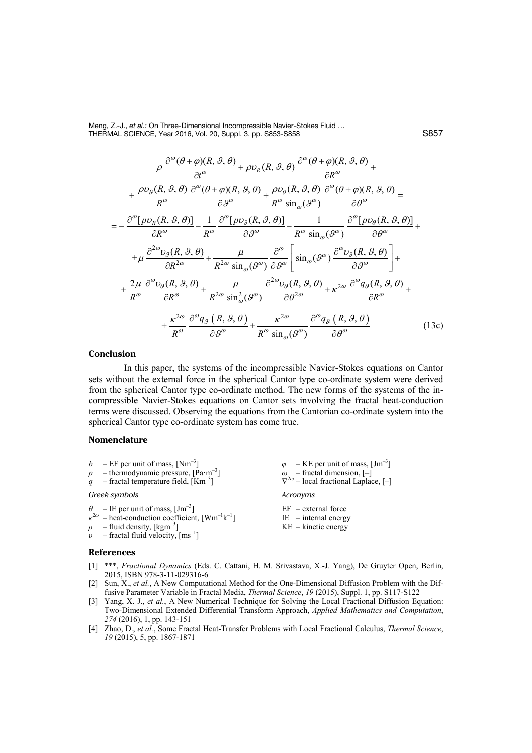$$
\rho \frac{\partial^{\omega}(\theta + \varphi)(R, \vartheta, \theta)}{\partial t^{\omega}} + \rho v_{R}(R, \vartheta, \theta) \frac{\partial^{\omega}(\theta + \varphi)(R, \vartheta, \theta)}{\partial R^{\omega}} + \frac{\rho v_{\vartheta}(R, \vartheta, \theta)}{R^{\omega} \partial \vartheta^{\omega}} \frac{\partial^{\omega}(\theta + \varphi)(R, \vartheta, \theta)}{\partial \theta^{\omega}} + \frac{\rho v_{\theta}(R, \vartheta, \theta)}{R^{\omega} \sin_{\omega}(\vartheta^{\omega})} \frac{\partial^{\omega}(\theta + \varphi)(R, \vartheta, \theta)}{\partial \theta^{\omega}} = \frac{-\frac{\partial^{\omega}[p v_{R}(R, \vartheta, \theta)]}{\partial R^{\omega}} - \frac{1}{R^{\omega}} \frac{\partial^{\omega}[p v_{\vartheta}(R, \vartheta, \theta)]}{\partial \vartheta^{\omega}} - \frac{1}{R^{\omega} \sin_{\omega}(\vartheta^{\omega})} \frac{\partial^{\omega}[p v_{\theta}(R, \vartheta, \theta)]}{\partial \theta^{\omega}} + \frac{\frac{\partial^2 v_{\vartheta}(R, \vartheta, \theta)}{\partial R^{2\omega}} + \frac{\mu}{R^{2\omega} \sin_{\omega}(\vartheta^{\omega})} \frac{\partial^{\omega}}{\partial \vartheta^{\omega}} \left[ \sin_{\omega}(\vartheta^{\omega}) \frac{\partial^{\omega} v_{\vartheta}(R, \vartheta, \theta)}{\partial \vartheta^{\omega}} \right] + \frac{2\mu}{R^{\omega}} \frac{\partial^{\omega} v_{\vartheta}(R, \vartheta, \theta)}{\partial R^{\omega}} + \frac{\mu}{R^{2\omega} \sin_{\omega}^{2}(\vartheta^{\omega})} \frac{\partial^{2\omega} v_{\vartheta}(R, \vartheta, \vartheta)}{\partial \vartheta^{2\omega}} + \kappa^{2\omega} \frac{\partial^{\omega} q_{\vartheta}(R, \vartheta, \vartheta)}{\partial R^{\omega}} + \frac{\kappa^{2\omega}}{R^{\omega}} \frac{\partial^{\omega} q_{\vartheta}(R, \vartheta, \vartheta)}{\partial \vartheta^{\omega}} + \frac{\kappa^{2\omega}}{R^{\omega}} \frac{\partial^{\omega} q_{\vartheta}(R, \vartheta, \vartheta)}{\partial \vartheta^{\omega}} + \frac{\kappa^{2\omega}}{R^{\omega}} \frac{\partial^{\omega} q_{\vartheta}(R,
$$

### **Conclusion**

In this paper, the systems of the incompressible Navier-Stokes equations on Cantor sets without the external force in the spherical Cantor type co-ordinate system were derived from the spherical Cantor type co-ordinate method. The new forms of the systems of the incompressible Navier-Stokes equations on Cantor sets involving the fractal heat-conduction terms were discussed. Observing the equations from the Cantorian co-ordinate system into the spherical Cantor type co-ordinate system has come true.

# **Nomenclature**

 $b - EF$  per unit of mass,  $[Nm^{-3}]$  $p$  – thermodynamic pressure, [Pa·m<sup>-3</sup>]  $q$  – fractal temperature field,  $[Km^{-3}]$  $\varphi$  – KE per unit of mass,  $\text{[Jm}^{-3}]$  $\omega$  – fractal dimension,  $[-]$ 

#### *Greek symbols*

- $\theta$  IE per unit of mass,  $\text{[Jm}^{-3}]$
- $\kappa^{2\omega}$  heat-conduction coefficient,  $[\text{Wm}^{-1}\text{k}^{-1}]$
- $\rho$  fluid density, [kgm<sup>-3</sup>]
- $\nu$  fractal fluid velocity,  $\text{[ms]}$

#### **References**

- [1] \*\*\*, *Fractional Dynamics* (Eds. C. Cattani, H. M. Srivastava, X.-J. Yang), De Gruyter Open, Berlin, 2015, ISBN 978-3-11-029316-6
- [2] Sun, X., *et al.*, A New Computational Method for the One-Dimensional Diffusion Problem with the Diffusive Parameter Variable in Fractal Media, *Thermal Science*, *19* (2015), Suppl. 1, pp. S117-S122
- [3] Yang, X. J., *et al.*, A New Numerical Technique for Solving the Local Fractional Diffusion Equation: Two-Dimensional Extended Differential Transform Approach, *Applied Mathematics and Computation*, *274* (2016), 1, pp. 143-151
- [4] Zhao, D., *et al.*, Some Fractal Heat-Transfer Problems with Local Fractional Calculus, *Thermal Science*, *19* (2015), 5, pp. 1867-1871
- ∇<sup>2</sup>*<sup>ω</sup>* local fractional Laplace, [–] *Acronyms*
- EF external force IE – internal energy KE – kinetic energy